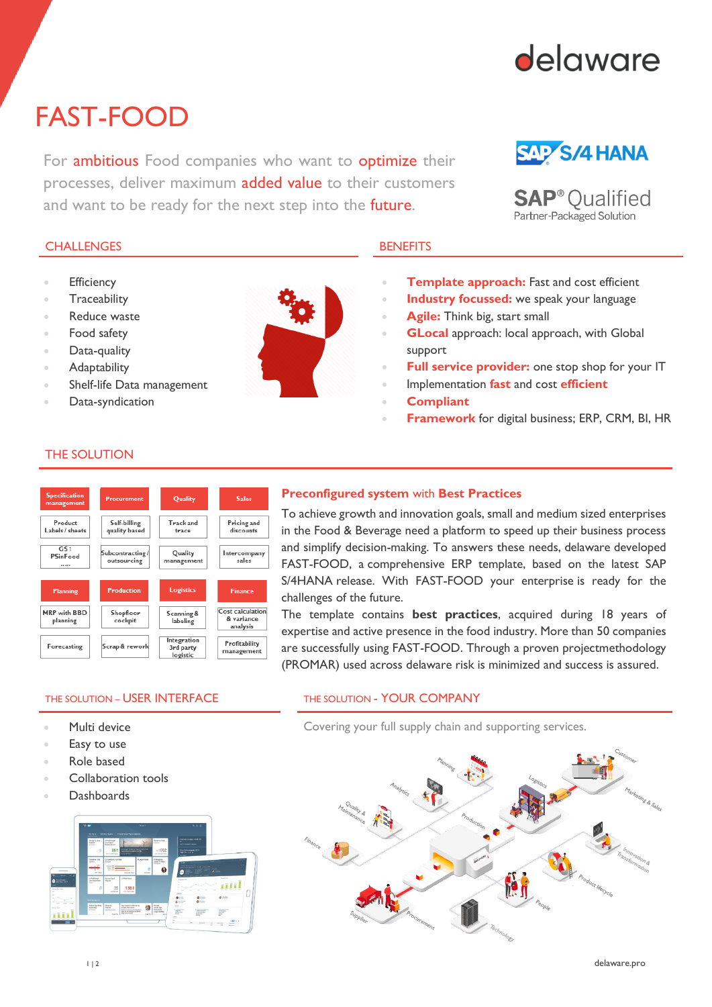

# FAST-FOOD

For **ambitious** Food companies who want to **optimize** their processes, deliver maximum added value to their customers and want to be ready for the next step into the **future**.

## **SAP S/4 HANA**

**SAP**<sup>®</sup> Qualified Partner-Packaged Solution

### CHALLENGES BENEFITS

- **Efficiency**
- **Traceability**
- Reduce waste
- Food safety
- Data-quality
- **Adaptability**
- Shelf-life Data management
- Data-syndication



- **Template approach:** Fast and cost efficient
- **Industry focussed:** we speak your language
- **Agile:** Think big, start small
- **GLocal** approach: local approach, with Global support
- **Full service provider:** one stop shop for your IT
- Implementation **fast** and cost **efficient**
- **Compliant**
- **Framework** for digital business; ERP, CRM, BI, HR

### THE SOLUTION



### **Preconfigured system** with **Best Practices**

To achieve growth and innovation goals, small and medium sized enterprises in the Food & Beverage need a platform to speed up their business process and simplify decision-making. To answers these needs, delaware developed FAST-FOOD, a comprehensive ERP template, based on the latest SAP S/4HANA release. With FAST-FOOD your enterprise is ready for the challenges of the future.

The template contains **best practices**, acquired during 18 years of expertise and active presence in the food industry. More than 50 companies are successfully using FAST-FOOD. Through a proven projectmethodology (PROMAR) used across delaware risk is minimized and success is assured.

### THE SOLUTION – USER INTERFACE THE SOLUTION - YOUR COMPANY

- Multi device
- Easy to use
- Role based
- Collaboration tools
- Dashboards



Covering your full supply chain and supporting services.